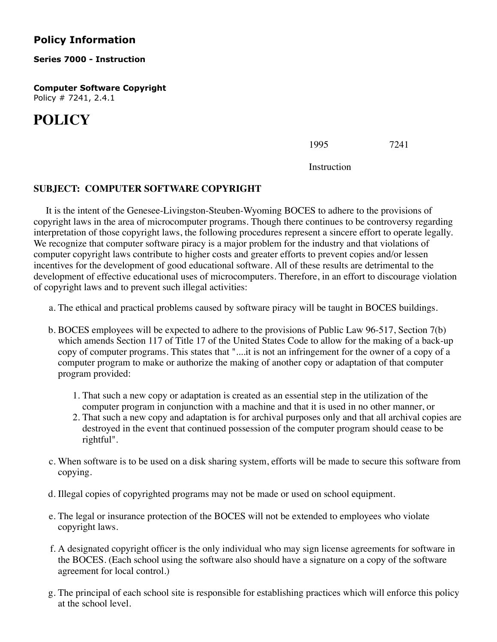## **Policy Information**

## **Series 7000 - Instruction**

**Computer Software Copyright** Policy # 7241, 2.4.1

## **POLICY**

1995 7241

Instruction

## **SUBJECT: COMPUTER SOFTWARE COPYRIGHT**

 It is the intent of the Genesee-Livingston-Steuben-Wyoming BOCES to adhere to the provisions of copyright laws in the area of microcomputer programs. Though there continues to be controversy regarding interpretation of those copyright laws, the following procedures represent a sincere effort to operate legally. We recognize that computer software piracy is a major problem for the industry and that violations of computer copyright laws contribute to higher costs and greater efforts to prevent copies and/or lessen incentives for the development of good educational software. All of these results are detrimental to the development of effective educational uses of microcomputers. Therefore, in an effort to discourage violation of copyright laws and to prevent such illegal activities:

- a. The ethical and practical problems caused by software piracy will be taught in BOCES buildings.
- b. BOCES employees will be expected to adhere to the provisions of Public Law 96-517, Section 7(b) which amends Section 117 of Title 17 of the United States Code to allow for the making of a back-up copy of computer programs. This states that "....it is not an infringement for the owner of a copy of a computer program to make or authorize the making of another copy or adaptation of that computer program provided:
	- 1. That such a new copy or adaptation is created as an essential step in the utilization of the computer program in conjunction with a machine and that it is used in no other manner, or
	- 2. That such a new copy and adaptation is for archival purposes only and that all archival copies are destroyed in the event that continued possession of the computer program should cease to be rightful".
- c. When software is to be used on a disk sharing system, efforts will be made to secure this software from copying.
- d. Illegal copies of copyrighted programs may not be made or used on school equipment.
- e. The legal or insurance protection of the BOCES will not be extended to employees who violate copyright laws.
- f. A designated copyright officer is the only individual who may sign license agreements for software in the BOCES. (Each school using the software also should have a signature on a copy of the software agreement for local control.)
- g. The principal of each school site is responsible for establishing practices which will enforce this policy at the school level.